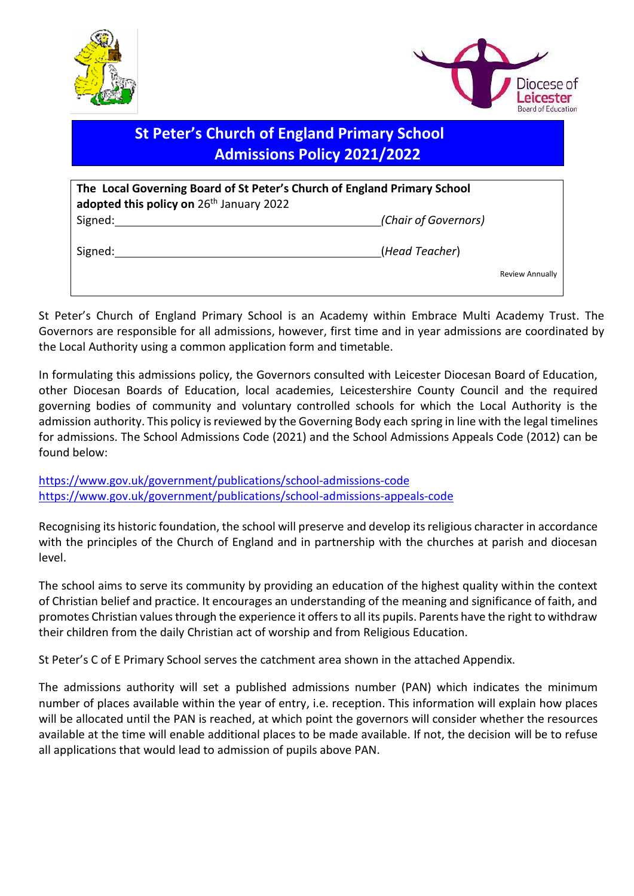



# **St Peter's Church of England Primary School Admissions Policy 2021/2022**

| The Local Governing Board of St Peter's Church of England Primary School<br>adopted this policy on 26th January 2022 |                      |                 |
|----------------------------------------------------------------------------------------------------------------------|----------------------|-----------------|
| Signed:                                                                                                              | (Chair of Governors) |                 |
| Signed:                                                                                                              | (Head Teacher)       |                 |
|                                                                                                                      |                      | Review Annually |

St Peter's Church of England Primary School is an Academy within Embrace Multi Academy Trust. The Governors are responsible for all admissions, however, first time and in year admissions are coordinated by the Local Authority using a common application form and timetable.

In formulating this admissions policy, the Governors consulted with Leicester Diocesan Board of Education, other Diocesan Boards of Education, local academies, Leicestershire County Council and the required governing bodies of community and voluntary controlled schools for which the Local Authority is the admission authority. This policy is reviewed by the Governing Body each spring in line with the legal timelines for admissions. The School Admissions Code (2021) and the School Admissions Appeals Code (2012) can be found below:

<https://www.gov.uk/government/publications/school-admissions-code> <https://www.gov.uk/government/publications/school-admissions-appeals-code>

Recognising its historic foundation, the school will preserve and develop its religious character in accordance with the principles of the Church of England and in partnership with the churches at parish and diocesan level.

The school aims to serve its community by providing an education of the highest quality within the context of Christian belief and practice. It encourages an understanding of the meaning and significance of faith, and promotes Christian values through the experience it offers to all its pupils. Parents have the right to withdraw their children from the daily Christian act of worship and from Religious Education.

St Peter's C of E Primary School serves the catchment area shown in the attached Appendix.

The admissions authority will set a published admissions number (PAN) which indicates the minimum number of places available within the year of entry, i.e. reception. This information will explain how places will be allocated until the PAN is reached, at which point the governors will consider whether the resources available at the time will enable additional places to be made available. If not, the decision will be to refuse all applications that would lead to admission of pupils above PAN.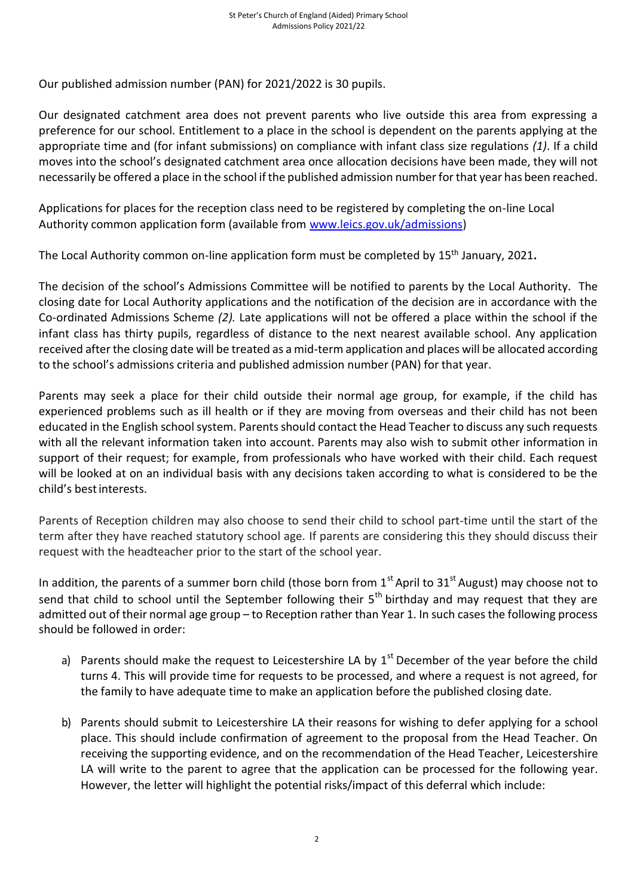Our published admission number (PAN) for 2021/2022 is 30 pupils.

Our designated catchment area does not prevent parents who live outside this area from expressing a preference for our school. Entitlement to a place in the school is dependent on the parents applying at the appropriate time and (for infant submissions) on compliance with infant class size regulations *(1)*. If a child moves into the school's designated catchment area once allocation decisions have been made, they will not necessarily be offered a place in the school if the published admission number for that year has been reached.

Applications for places for the reception class need to be registered by completing the on-line Local Authority common application form (available from [www.leics.gov.uk/admissions\)](http://www.leics.gov.uk/admissions)

The Local Authority common on-line application form must be completed by 15 th January, 2021**.**

The decision of the school's Admissions Committee will be notified to parents by the Local Authority. The closing date for Local Authority applications and the notification of the decision are in accordance with the Co-ordinated Admissions Scheme *(2).* Late applications will not be offered a place within the school if the infant class has thirty pupils, regardless of distance to the next nearest available school. Any application received after the closing date will be treated as a mid-term application and places will be allocated according to the school's admissions criteria and published admission number (PAN) for that year.

Parents may seek a place for their child outside their normal age group, for example, if the child has experienced problems such as ill health or if they are moving from overseas and their child has not been educated in the English school system. Parents should contact the Head Teacher to discuss any such requests with all the relevant information taken into account. Parents may also wish to submit other information in support of their request; for example, from professionals who have worked with their child. Each request will be looked at on an individual basis with any decisions taken according to what is considered to be the child's bestinterests.

Parents of Reception children may also choose to send their child to school part-time until the start of the term after they have reached statutory school age. If parents are considering this they should discuss their request with the headteacher prior to the start of the school year.

In addition, the parents of a summer born child (those born from  $1<sup>st</sup>$  April to  $31<sup>st</sup>$  August) may choose not to send that child to school until the September following their  $5<sup>th</sup>$  birthday and may request that they are admitted out of their normal age group – to Reception rather than Year 1. In such cases the following process should be followed in order:

- a) Parents should make the request to Leicestershire LA by  $1<sup>st</sup>$  December of the year before the child turns 4. This will provide time for requests to be processed, and where a request is not agreed, for the family to have adequate time to make an application before the published closing date.
- b) Parents should submit to Leicestershire LA their reasons for wishing to defer applying for a school place. This should include confirmation of agreement to the proposal from the Head Teacher. On receiving the supporting evidence, and on the recommendation of the Head Teacher, Leicestershire LA will write to the parent to agree that the application can be processed for the following year. However, the letter will highlight the potential risks/impact of this deferral which include: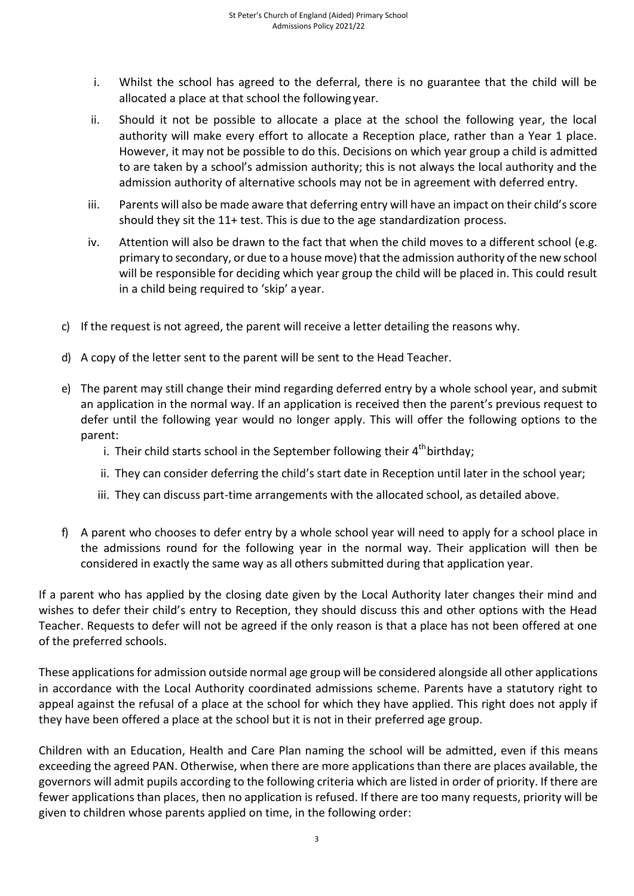- i. Whilst the school has agreed to the deferral, there is no guarantee that the child will be allocated a place at that school the following year.
- ii. Should it not be possible to allocate a place at the school the following year, the local authority will make every effort to allocate a Reception place, rather than a Year 1 place. However, it may not be possible to do this. Decisions on which year group a child is admitted to are taken by a school's admission authority; this is not always the local authority and the admission authority of alternative schools may not be in agreement with deferred entry.
- iii. Parents will also be made aware that deferring entry will have an impact on their child's score should they sit the 11+ test. This is due to the age standardization process.
- iv. Attention will also be drawn to the fact that when the child moves to a different school (e.g. primary to secondary, or due to a house move) that the admission authority of the new school will be responsible for deciding which year group the child will be placed in. This could result in a child being required to 'skip' a year.
- c) If the request is not agreed, the parent will receive a letter detailing the reasons why.
- d) A copy of the letter sent to the parent will be sent to the Head Teacher.
- e) The parent may still change their mind regarding deferred entry by a whole school year, and submit an application in the normal way. If an application is received then the parent's previous request to defer until the following year would no longer apply. This will offer the following options to the parent:
	- i. Their child starts school in the September following their 4<sup>th</sup>birthday;
	- ii. They can consider deferring the child's start date in Reception until later in the school year;
	- iii. They can discuss part-time arrangements with the allocated school, as detailed above.
- f) A parent who chooses to defer entry by a whole school year will need to apply for a school place in the admissions round for the following year in the normal way. Their application will then be considered in exactly the same way as all others submitted during that application year.

If a parent who has applied by the closing date given by the Local Authority later changes their mind and wishes to defer their child's entry to Reception, they should discuss this and other options with the Head Teacher. Requests to defer will not be agreed if the only reason is that a place has not been offered at one of the preferred schools.

These applications for admission outside normal age group will be considered alongside all other applications in accordance with the Local Authority coordinated admissions scheme. Parents have a statutory right to appeal against the refusal of a place at the school for which they have applied. This right does not apply if they have been offered a place at the school but it is not in their preferred age group.

Children with an Education, Health and Care Plan naming the school will be admitted, even if this means exceeding the agreed PAN. Otherwise, when there are more applications than there are places available, the governors will admit pupils according to the following criteria which are listed in order of priority. If there are fewer applications than places, then no application is refused. If there are too many requests, priority will be given to children whose parents applied on time, in the following order: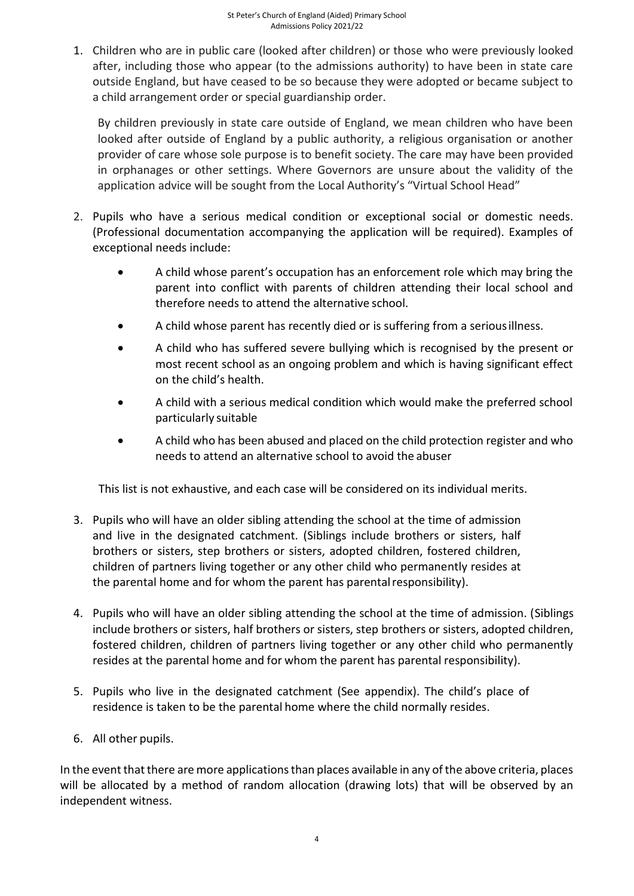1. Children who are in public care (looked after children) or those who were previously looked after, including those who appear (to the admissions authority) to have been in state care outside England, but have ceased to be so because they were adopted or became subject to a child arrangement order or special guardianship order.

By children previously in state care outside of England, we mean children who have been looked after outside of England by a public authority, a religious organisation or another provider of care whose sole purpose is to benefit society. The care may have been provided in orphanages or other settings. Where Governors are unsure about the validity of the application advice will be sought from the Local Authority's "Virtual School Head"

- 2. Pupils who have a serious medical condition or exceptional social or domestic needs. (Professional documentation accompanying the application will be required). Examples of exceptional needs include:
	- A child whose parent's occupation has an enforcement role which may bring the parent into conflict with parents of children attending their local school and therefore needs to attend the alternative school.
	- A child whose parent has recently died or is suffering from a seriousillness.
	- A child who has suffered severe bullying which is recognised by the present or most recent school as an ongoing problem and which is having significant effect on the child's health.
	- A child with a serious medical condition which would make the preferred school particularly suitable
	- A child who has been abused and placed on the child protection register and who needs to attend an alternative school to avoid the abuser

This list is not exhaustive, and each case will be considered on its individual merits.

- 3. Pupils who will have an older sibling attending the school at the time of admission and live in the designated catchment. (Siblings include brothers or sisters, half brothers or sisters, step brothers or sisters, adopted children, fostered children, children of partners living together or any other child who permanently resides at the parental home and for whom the parent has parental responsibility).
- 4. Pupils who will have an older sibling attending the school at the time of admission. (Siblings include brothers or sisters, half brothers or sisters, step brothers or sisters, adopted children, fostered children, children of partners living together or any other child who permanently resides at the parental home and for whom the parent has parental responsibility).
- 5. Pupils who live in the designated catchment (See appendix). The child's place of residence is taken to be the parental home where the child normally resides.
- 6. All other pupils.

In the event that there are more applications than places available in any of the above criteria, places will be allocated by a method of random allocation (drawing lots) that will be observed by an independent witness.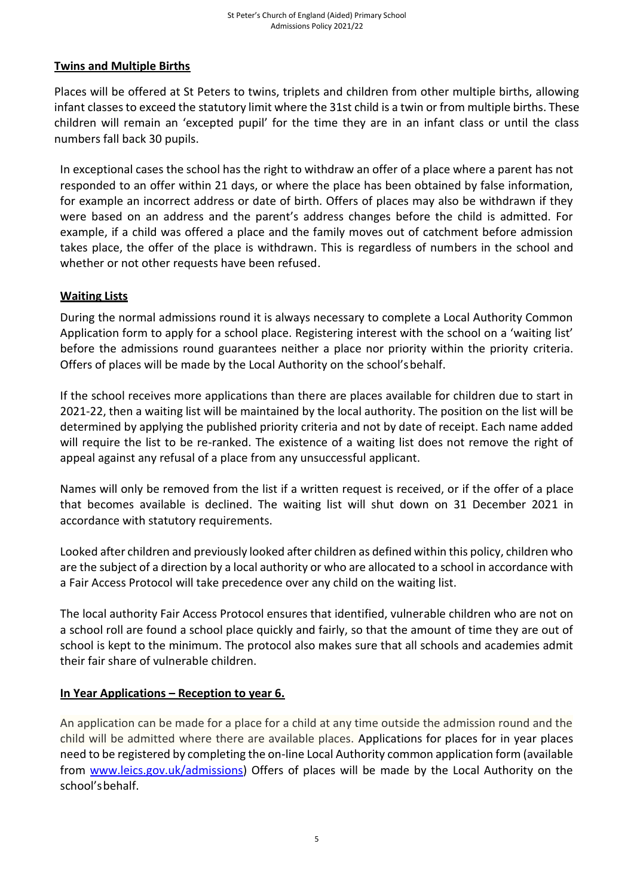### **Twins and Multiple Births**

Places will be offered at St Peters to twins, triplets and children from other multiple births, allowing infant classes to exceed the statutory limit where the 31st child is a twin or from multiple births. These children will remain an 'excepted pupil' for the time they are in an infant class or until the class numbers fall back 30 pupils.

In exceptional cases the school has the right to withdraw an offer of a place where a parent has not responded to an offer within 21 days, or where the place has been obtained by false information, for example an incorrect address or date of birth. Offers of places may also be withdrawn if they were based on an address and the parent's address changes before the child is admitted. For example, if a child was offered a place and the family moves out of catchment before admission takes place, the offer of the place is withdrawn. This is regardless of numbers in the school and whether or not other requests have been refused.

#### **Waiting Lists**

During the normal admissions round it is always necessary to complete a Local Authority Common Application form to apply for a school place. Registering interest with the school on a 'waiting list' before the admissions round guarantees neither a place nor priority within the priority criteria. Offers of places will be made by the Local Authority on the school'sbehalf.

If the school receives more applications than there are places available for children due to start in 2021-22, then a waiting list will be maintained by the local authority. The position on the list will be determined by applying the published priority criteria and not by date of receipt. Each name added will require the list to be re-ranked. The existence of a waiting list does not remove the right of appeal against any refusal of a place from any unsuccessful applicant.

Names will only be removed from the list if a written request is received, or if the offer of a place that becomes available is declined. The waiting list will shut down on 31 December 2021 in accordance with statutory requirements.

Looked after children and previously looked after children as defined within this policy, children who are the subject of a direction by a local authority or who are allocated to a school in accordance with a Fair Access Protocol will take precedence over any child on the waiting list.

The local authority Fair Access Protocol ensures that identified, vulnerable children who are not on a school roll are found a school place quickly and fairly, so that the amount of time they are out of school is kept to the minimum. The protocol also makes sure that all schools and academies admit their fair share of vulnerable children.

#### **In Year Applications – Reception to year 6.**

An application can be made for a place for a child at any time outside the admission round and the child will be admitted where there are available places. Applications for places for in year places need to be registered by completing the on-line Local Authority common application form (available from [www.leics.gov.uk/admissions\)](http://www.leics.gov.uk/admissions) Offers of places will be made by the Local Authority on the school'sbehalf.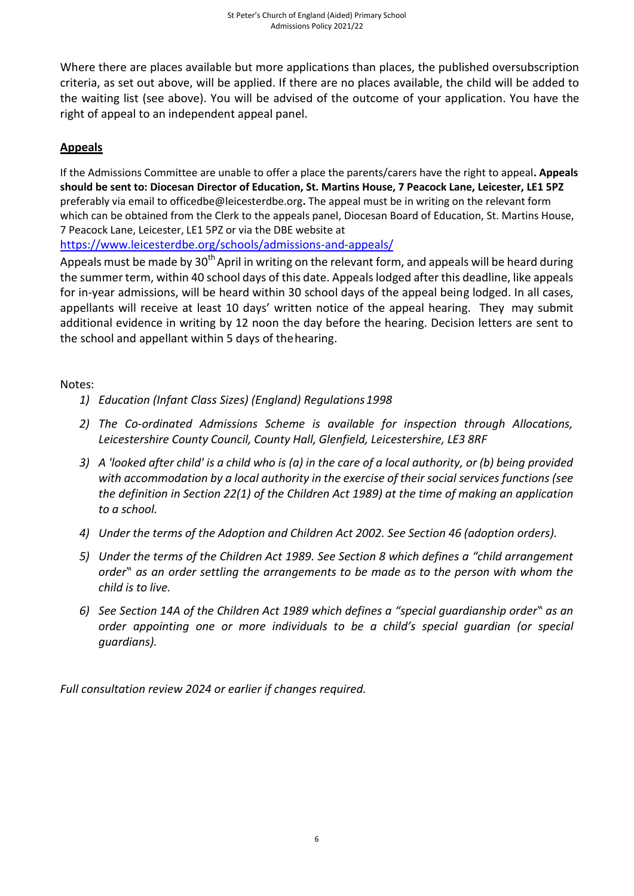Where there are places available but more applications than places, the published oversubscription criteria, as set out above, will be applied. If there are no places available, the child will be added to the waiting list (see above). You will be advised of the outcome of your application. You have the right of appeal to an independent appeal panel.

## **Appeals**

If the Admissions Committee are unable to offer a place the parents/carers have the right to appeal**. Appeals should be sent to: Diocesan Director of Education, St. Martins House, 7 Peacock Lane, Leicester, LE1 5PZ** preferably via email to officedbe@leicesterdbe.org**.** The appeal must be in writing on the relevant form which can be obtained from the Clerk to the appeals panel, Diocesan Board of Education, St. Martins House, 7 Peacock Lane, Leicester, LE1 5PZ or via the DBE website at

<https://www.leicesterdbe.org/schools/admissions-and-appeals/>

Appeals must be made by 30<sup>th</sup> April in writing on the relevant form, and appeals will be heard during the summer term, within 40 school days of this date. Appeals lodged after this deadline, like appeals for in-year admissions, will be heard within 30 school days of the appeal being lodged. In all cases, appellants will receive at least 10 days' written notice of the appeal hearing. They may submit additional evidence in writing by 12 noon the day before the hearing. Decision letters are sent to the school and appellant within 5 days of thehearing.

Notes:

- *1) Education (Infant Class Sizes) (England) Regulations1998*
- *2) The Co-ordinated Admissions Scheme is available for inspection through Allocations, Leicestershire County Council, County Hall, Glenfield, Leicestershire, LE3 8RF*
- *3) A 'looked after child' is a child who is (a) in the care of a local authority, or (b) being provided with accommodation by a local authority in the exercise of their social services functions (see the definition in Section 22(1) of the Children Act 1989) at the time of making an application to a school.*
- *4) Under the terms of the Adoption and Children Act 2002. See Section 46 (adoption orders).*
- *5) Under the terms of the Children Act 1989. See Section 8 which defines a "child arrangement order" as an order settling the arrangements to be made as to the person with whom the child is to live.*
- *6) See Section 14A of the Children Act 1989 which defines a "special guardianship order" as an order appointing one or more individuals to be a child's special guardian (or special guardians).*

*Full consultation review 2024 or earlier if changes required.*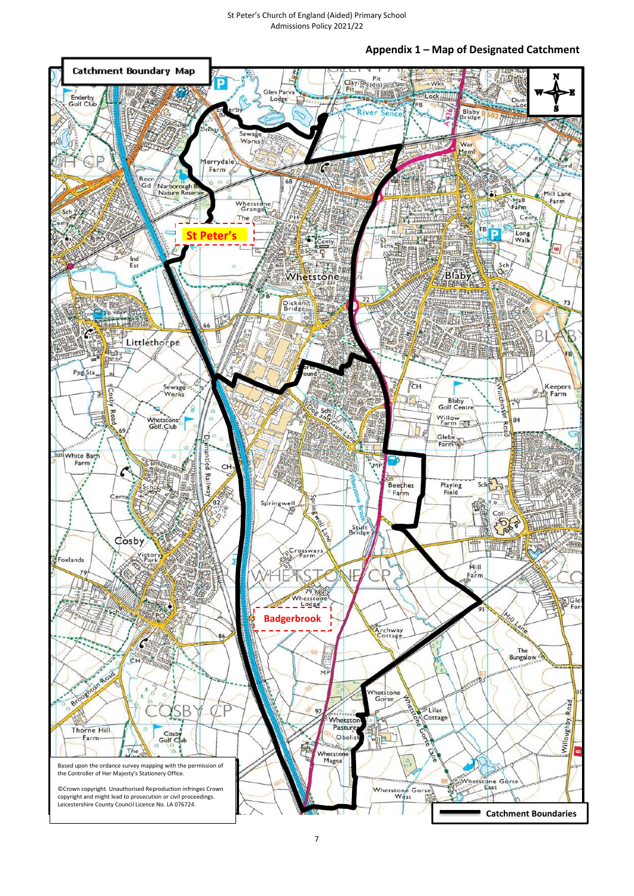**Appendix 1 – Map of Designated Catchment**